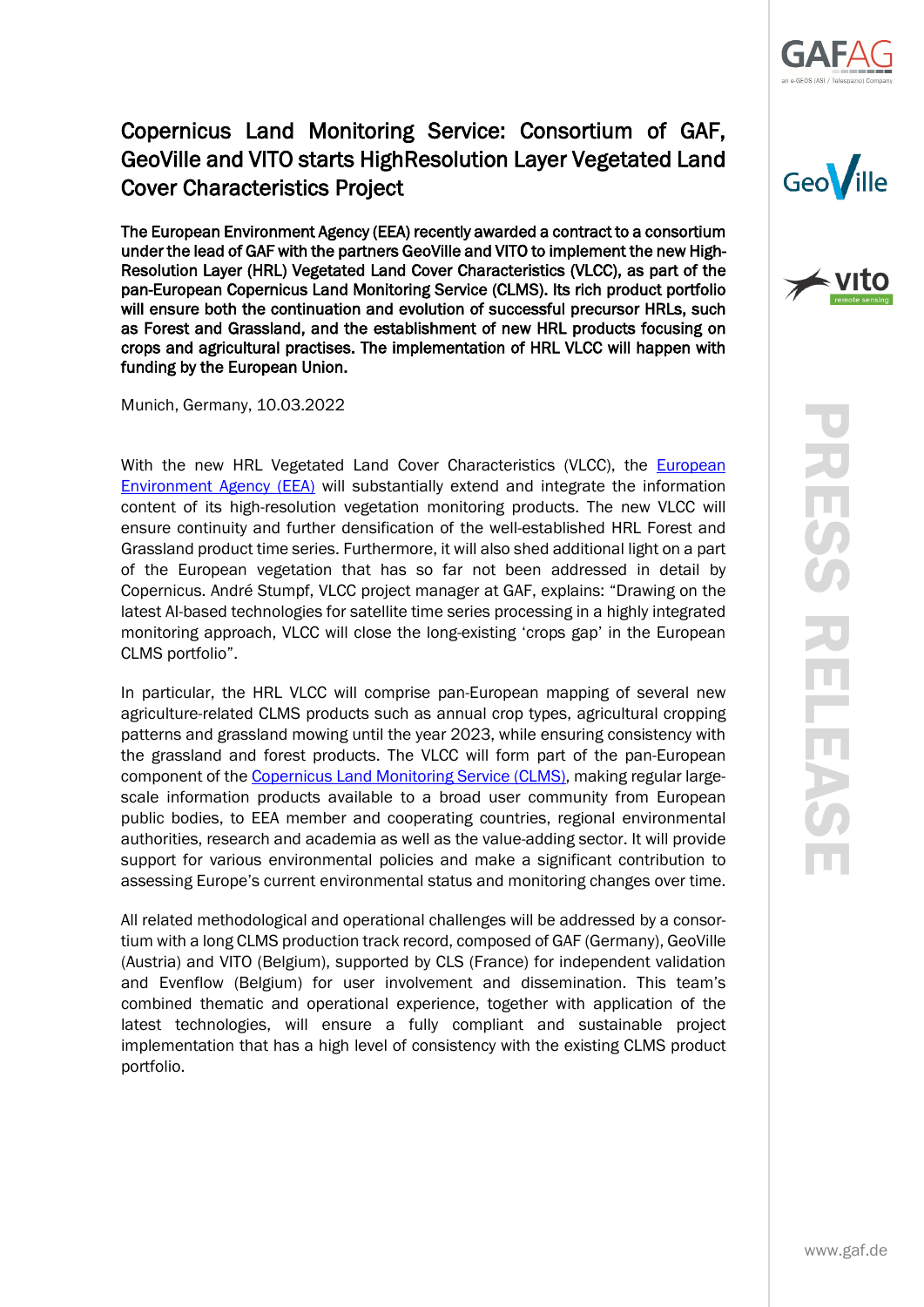

## Copernicus Land Monitoring Service: Consortium of GAF, GeoVille and VITO starts HighResolution Layer Vegetated Land Cover Characteristics Project

The European Environment Agency (EEA) recently awarded a contract to a consortium under the lead of GAF with the partners GeoVille and VITO to implement the new High-Resolution Layer (HRL) Vegetated Land Cover Characteristics (VLCC), as part of the pan-European Copernicus Land Monitoring Service (CLMS). Its rich product portfolio will ensure both the continuation and evolution of successful precursor HRLs, such as Forest and Grassland, and the establishment of new HRL products focusing on crops and agricultural practises. The implementation of HRL VLCC will happen with funding by the European Union.

Munich, Germany, 10.03.2022

With the new HRL Vegetated Land Cover Characteristics (VLCC), the European [Environment Agency \(EEA\)](https://www.eea.europa.eu/) will substantially extend and integrate the information content of its high-resolution vegetation monitoring products. The new VLCC will ensure continuity and further densification of the well-established HRL Forest and Grassland product time series. Furthermore, it will also shed additional light on a part of the European vegetation that has so far not been addressed in detail by Copernicus. André Stumpf, VLCC project manager at GAF, explains: "Drawing on the latest AI-based technologies for satellite time series processing in a highly integrated monitoring approach, VLCC will close the long-existing 'crops gap' in the European CLMS portfolio".

In particular, the HRL VLCC will comprise pan-European mapping of several new agriculture-related CLMS products such as annual crop types, agricultural cropping patterns and grassland mowing until the year 2023, while ensuring consistency with the grassland and forest products. The VLCC will form part of the pan-European component of the [Copernicus Land Monitoring Service \(CLMS\),](https://land.copernicus.eu/) making regular largescale information products available to a broad user community from European public bodies, to EEA member and cooperating countries, regional environmental authorities, research and academia as well as the value-adding sector. It will provide support for various environmental policies and make a significant contribution to assessing Europe's current environmental status and monitoring changes over time.

All related methodological and operational challenges will be addressed by a consortium with a long CLMS production track record, composed of GAF (Germany), GeoVille (Austria) and VITO (Belgium), supported by CLS (France) for independent validation and Evenflow (Belgium) for user involvement and dissemination. This team's combined thematic and operational experience, together with application of the latest technologies, will ensure a fully compliant and sustainable project implementation that has a high level of consistency with the existing CLMS product portfolio.